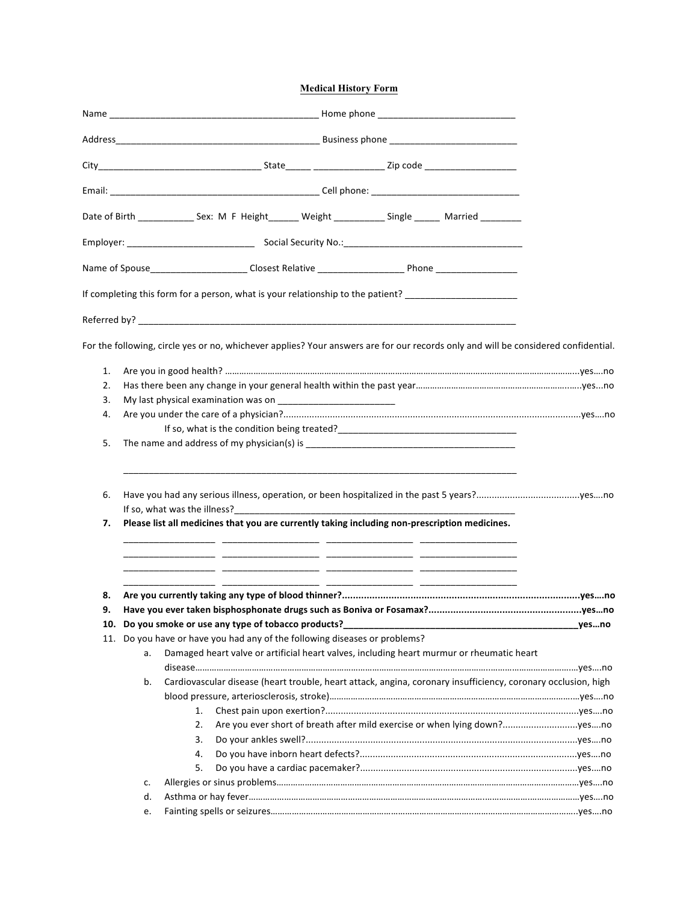## **Medical History Form**

|     |    |                                                                                                                |  | Date of Birth _______________ Sex: M F Height ________ Weight ______________ Single ________ Married _________                     |        |
|-----|----|----------------------------------------------------------------------------------------------------------------|--|------------------------------------------------------------------------------------------------------------------------------------|--------|
|     |    |                                                                                                                |  |                                                                                                                                    |        |
|     |    | Name of Spouse_______________________Closest Relative ___________________________ Phone ______________________ |  |                                                                                                                                    |        |
|     |    | If completing this form for a person, what is your relationship to the patient? ____________________           |  |                                                                                                                                    |        |
|     |    |                                                                                                                |  |                                                                                                                                    |        |
|     |    |                                                                                                                |  | For the following, circle yes or no, whichever applies? Your answers are for our records only and will be considered confidential. |        |
| 1.  |    |                                                                                                                |  |                                                                                                                                    |        |
| 2.  |    |                                                                                                                |  |                                                                                                                                    |        |
| 3.  |    |                                                                                                                |  |                                                                                                                                    |        |
| 4.  |    |                                                                                                                |  |                                                                                                                                    |        |
|     |    |                                                                                                                |  |                                                                                                                                    |        |
| 5.  |    |                                                                                                                |  |                                                                                                                                    |        |
| 6.  |    |                                                                                                                |  |                                                                                                                                    |        |
| 7.  |    | Please list all medicines that you are currently taking including non-prescription medicines.                  |  |                                                                                                                                    |        |
|     |    |                                                                                                                |  |                                                                                                                                    |        |
| 8.  |    |                                                                                                                |  |                                                                                                                                    |        |
| 9.  |    |                                                                                                                |  |                                                                                                                                    |        |
|     |    | 10. Do you smoke or use any type of tobacco products?                                                          |  |                                                                                                                                    |        |
| 11. |    | Do you have or have you had any of the following diseases or problems?                                         |  |                                                                                                                                    |        |
|     | a. |                                                                                                                |  | Damaged heart valve or artificial heart valves, including heart murmur or rheumatic heart                                          |        |
|     | b. |                                                                                                                |  |                                                                                                                                    |        |
|     |    |                                                                                                                |  | Cardiovascular disease (heart trouble, heart attack, angina, coronary insufficiency, coronary occlusion, high                      |        |
|     |    | 1.                                                                                                             |  |                                                                                                                                    | yes…no |
|     |    | 2.                                                                                                             |  | Are you ever short of breath after mild exercise or when lying down?yesno                                                          |        |
|     |    | 3.                                                                                                             |  |                                                                                                                                    |        |
|     |    |                                                                                                                |  |                                                                                                                                    |        |
|     |    | 4.<br>5.                                                                                                       |  |                                                                                                                                    |        |
|     | c. |                                                                                                                |  |                                                                                                                                    |        |
|     | d. |                                                                                                                |  |                                                                                                                                    |        |